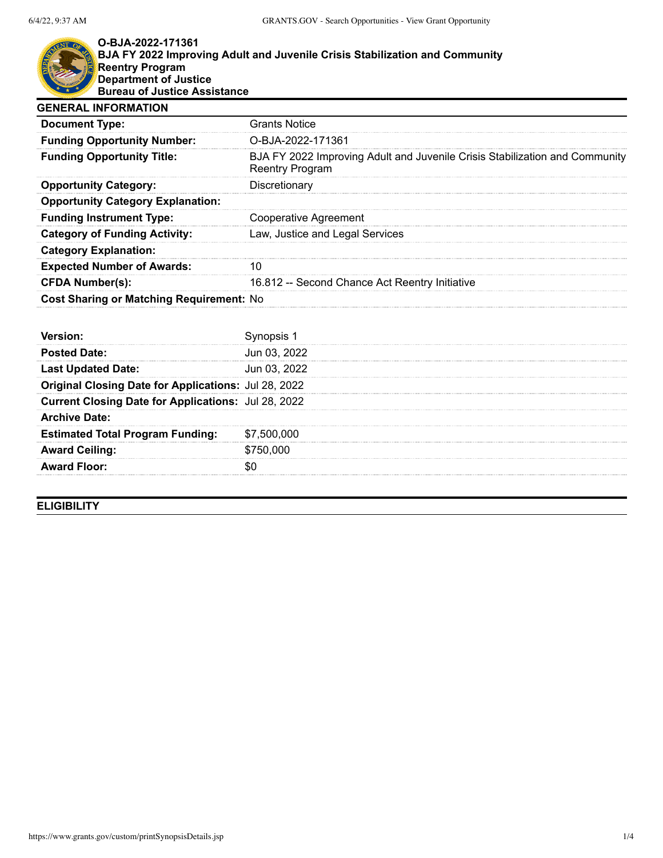

## **O-BJA-2022-171361 BJA FY 2022 Improving Adult and Juvenile Crisis Stabilization and Community Reentry Program Department of Justice Bureau of Justice Assistance**

| <b>GENERAL INFORMATION</b>               |                                                                                                       |
|------------------------------------------|-------------------------------------------------------------------------------------------------------|
| <b>Document Type:</b>                    | <b>Grants Notice</b>                                                                                  |
| <b>Funding Opportunity Number:</b>       | O-BJA-2022-171361                                                                                     |
| <b>Funding Opportunity Title:</b>        | BJA FY 2022 Improving Adult and Juvenile Crisis Stabilization and Community<br><b>Reentry Program</b> |
| <b>Opportunity Category:</b>             | Discretionary                                                                                         |
| <b>Opportunity Category Explanation:</b> |                                                                                                       |
| <b>Funding Instrument Type:</b>          | Cooperative Agreement                                                                                 |
| <b>Category of Funding Activity:</b>     | Law, Justice and Legal Services                                                                       |
| <b>Category Explanation:</b>             |                                                                                                       |
| <b>Expected Number of Awards:</b>        | 10                                                                                                    |
| <b>CFDA Number(s):</b>                   | 16.812 -- Second Chance Act Reentry Initiative                                                        |
| Cost Sharing or Matching Requirement: No |                                                                                                       |
| Version:                                 | Synopsis 1                                                                                            |

| <b>Posted Date:</b>                                  | Jun 03, 2022 |
|------------------------------------------------------|--------------|
| <b>Last Updated Date:</b>                            | Jun 03, 2022 |
| Original Closing Date for Applications: Jul 28, 2022 |              |
| Current Closing Date for Applications: Jul 28, 2022  |              |
| <b>Archive Date:</b>                                 |              |
| <b>Estimated Total Program Funding:</b>              | \$7,500,000  |
| <b>Award Ceiling:</b>                                | \$750,000    |
| <b>Award Floor:</b>                                  |              |
|                                                      |              |

**ELIGIBILITY**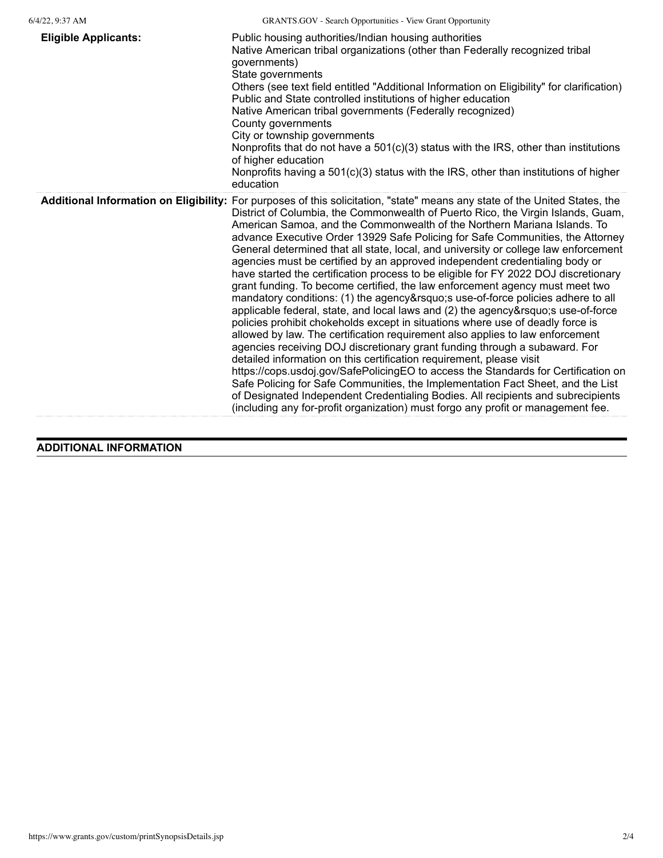| <b>Eligible Applicants:</b> | Public housing authorities/Indian housing authorities<br>Native American tribal organizations (other than Federally recognized tribal<br>governments)<br>State governments<br>Others (see text field entitled "Additional Information on Eligibility" for clarification)<br>Public and State controlled institutions of higher education<br>Native American tribal governments (Federally recognized)<br>County governments<br>City or township governments<br>Nonprofits that do not have a $501(c)(3)$ status with the IRS, other than institutions<br>of higher education<br>Nonprofits having a $501(c)(3)$ status with the IRS, other than institutions of higher<br>education                                                                                                                                                                                                                                                                                                                                                                                                                                                                                                                                                                                                                                                                                                                                                                                                                                                                               |
|-----------------------------|-------------------------------------------------------------------------------------------------------------------------------------------------------------------------------------------------------------------------------------------------------------------------------------------------------------------------------------------------------------------------------------------------------------------------------------------------------------------------------------------------------------------------------------------------------------------------------------------------------------------------------------------------------------------------------------------------------------------------------------------------------------------------------------------------------------------------------------------------------------------------------------------------------------------------------------------------------------------------------------------------------------------------------------------------------------------------------------------------------------------------------------------------------------------------------------------------------------------------------------------------------------------------------------------------------------------------------------------------------------------------------------------------------------------------------------------------------------------------------------------------------------------------------------------------------------------|
|                             | Additional Information on Eligibility: For purposes of this solicitation, "state" means any state of the United States, the<br>District of Columbia, the Commonwealth of Puerto Rico, the Virgin Islands, Guam,<br>American Samoa, and the Commonwealth of the Northern Mariana Islands. To<br>advance Executive Order 13929 Safe Policing for Safe Communities, the Attorney<br>General determined that all state, local, and university or college law enforcement<br>agencies must be certified by an approved independent credentialing body or<br>have started the certification process to be eligible for FY 2022 DOJ discretionary<br>grant funding. To become certified, the law enforcement agency must meet two<br>mandatory conditions: (1) the agency' suse-of-force policies adhere to all<br>applicable federal, state, and local laws and (2) the agency's use-of-force<br>policies prohibit chokeholds except in situations where use of deadly force is<br>allowed by law. The certification requirement also applies to law enforcement<br>agencies receiving DOJ discretionary grant funding through a subaward. For<br>detailed information on this certification requirement, please visit<br>https://cops.usdoj.gov/SafePolicingEO to access the Standards for Certification on<br>Safe Policing for Safe Communities, the Implementation Fact Sheet, and the List<br>of Designated Independent Credentialing Bodies. All recipients and subrecipients<br>(including any for-profit organization) must forgo any profit or management fee. |

**ADDITIONAL INFORMATION**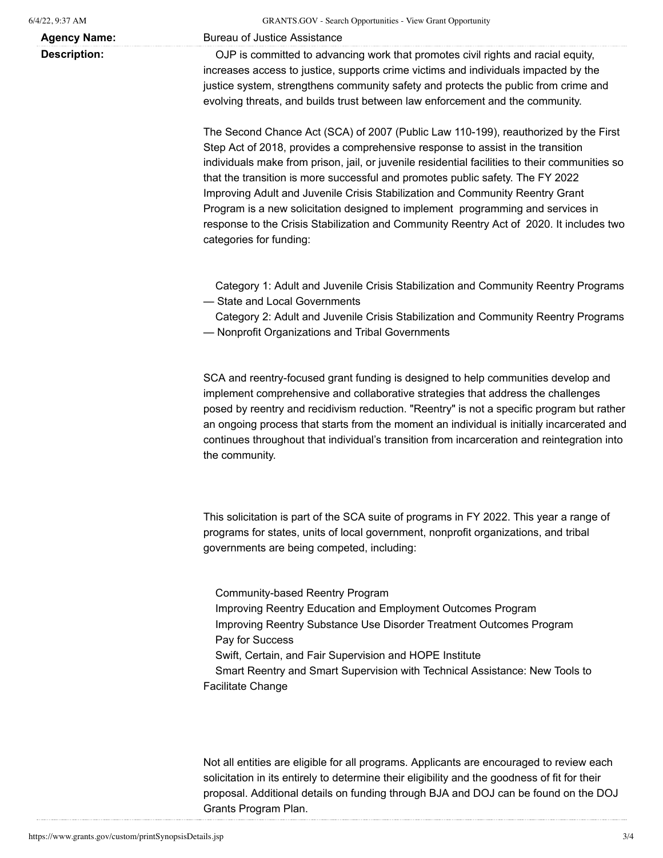**Agency Name:** Bureau of Justice Assistance

**Description:** OJP is committed to advancing work that promotes civil rights and racial equity, increases access to justice, supports crime victims and individuals impacted by the justice system, strengthens community safety and protects the public from crime and evolving threats, and builds trust between law enforcement and the community.

> The Second Chance Act (SCA) of 2007 (Public Law 110-199), reauthorized by the First Step Act of 2018, provides a comprehensive response to assist in the transition individuals make from prison, jail, or juvenile residential facilities to their communities so that the transition is more successful and promotes public safety. The FY 2022 Improving Adult and Juvenile Crisis Stabilization and Community Reentry Grant Program is a new solicitation designed to implement programming and services in response to the Crisis Stabilization and Community Reentry Act of 2020. It includes two categories for funding:

> Category 1: Adult and Juvenile Crisis Stabilization and Community Reentry Programs — State and Local Governments

> Category 2: Adult and Juvenile Crisis Stabilization and Community Reentry Programs

— Nonprofit Organizations and Tribal Governments

SCA and reentry-focused grant funding is designed to help communities develop and implement comprehensive and collaborative strategies that address the challenges posed by reentry and recidivism reduction. "Reentry" is not a specific program but rather an ongoing process that starts from the moment an individual is initially incarcerated and continues throughout that individual's transition from incarceration and reintegration into the community.

This solicitation is part of the SCA suite of programs in FY 2022. This year a range of programs for states, units of local government, nonprofit organizations, and tribal governments are being competed, including:

Community-based Reentry Program Improving Reentry Education and Employment Outcomes Program Improving Reentry Substance Use Disorder Treatment Outcomes Program Pay for Success Swift, Certain, and Fair Supervision and HOPE Institute Smart Reentry and Smart Supervision with Technical Assistance: New Tools to Facilitate Change

Not all entities are eligible for all programs. Applicants are encouraged to review each solicitation in its entirely to determine their eligibility and the goodness of fit for their proposal. Additional details on funding through BJA and DOJ can be found on the DOJ Grants Program Plan.